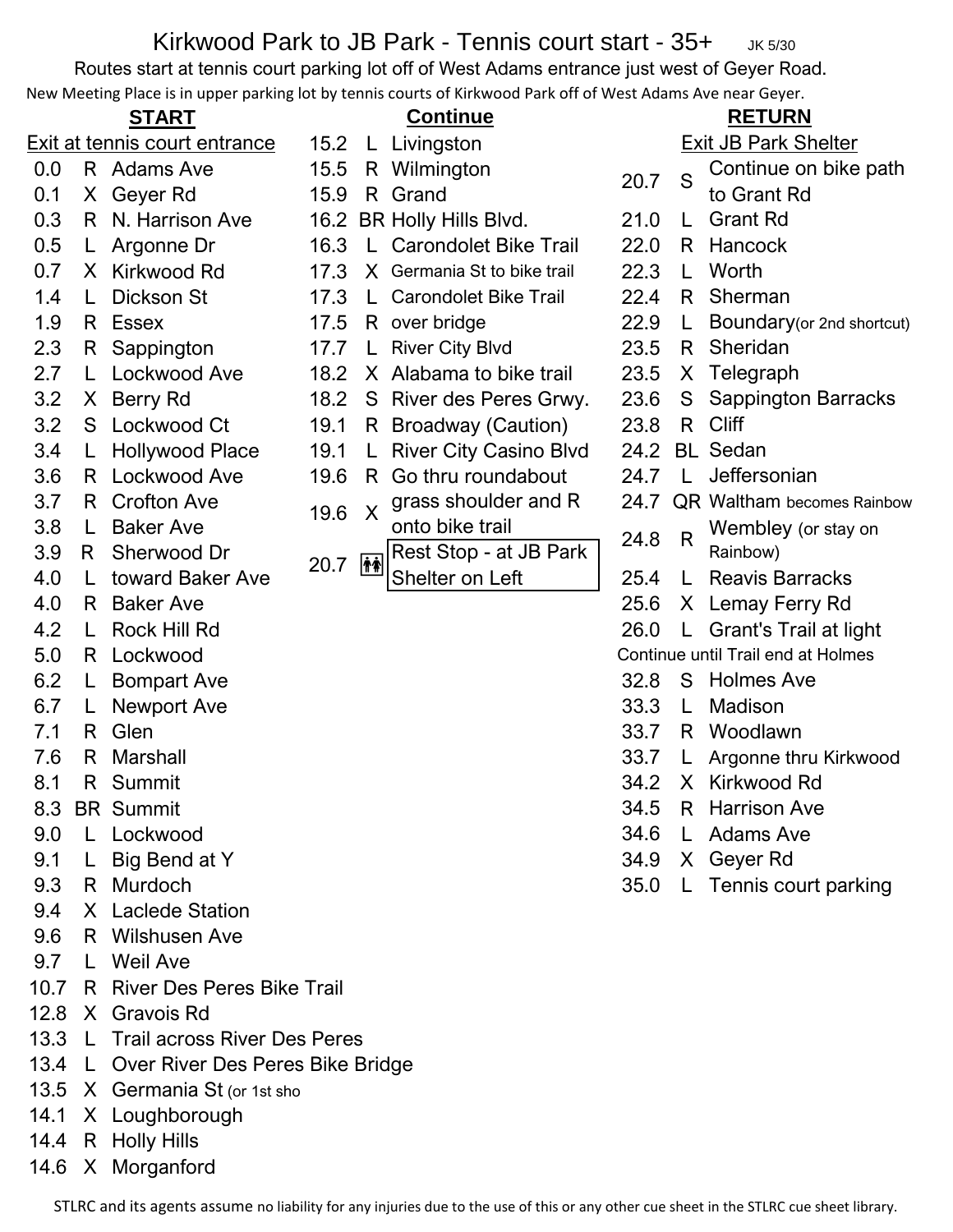## Kirkwood Park to JB Park - Tennis court start - 35+ JK 5/30

Routes start at tennis court parking lot off of West Adams entrance just west of Geyer Road.

|      |                               |                                         |      |                           | New Meeting Place is in upper parking lot by tennis courts of Kirkwood Park off of West Adams Ave near Geyer. |      |                             |                                    |  |  |
|------|-------------------------------|-----------------------------------------|------|---------------------------|---------------------------------------------------------------------------------------------------------------|------|-----------------------------|------------------------------------|--|--|
|      | <b>START</b>                  |                                         |      | <b>Continue</b>           |                                                                                                               |      | <b>RETURN</b>               |                                    |  |  |
|      | Exit at tennis court entrance |                                         |      | 15.2 L Livingston         |                                                                                                               |      | <b>Exit JB Park Shelter</b> |                                    |  |  |
| 0.0  |                               | R Adams Ave                             | 15.5 |                           | R Wilmington                                                                                                  | 20.7 | S                           | Continue on bike path              |  |  |
| 0.1  |                               | X Geyer Rd                              | 15.9 |                           | R Grand                                                                                                       |      |                             | to Grant Rd                        |  |  |
| 0.3  |                               | R N. Harrison Ave                       |      |                           | 16.2 BR Holly Hills Blvd.                                                                                     | 21.0 | L                           | <b>Grant Rd</b>                    |  |  |
| 0.5  | L.                            | Argonne Dr                              | 16.3 |                           | L Carondolet Bike Trail                                                                                       | 22.0 |                             | R Hancock                          |  |  |
| 0.7  |                               | X Kirkwood Rd                           | 17.3 |                           | X Germania St to bike trail                                                                                   | 22.3 | L                           | Worth                              |  |  |
| 1.4  | L.                            | <b>Dickson St</b>                       | 17.3 | L.                        | <b>Carondolet Bike Trail</b>                                                                                  | 22.4 | R.                          | Sherman                            |  |  |
| 1.9  |                               | R Essex                                 | 17.5 |                           | R over bridge                                                                                                 | 22.9 | L                           | Boundary (or 2nd shortcut)         |  |  |
| 2.3  |                               | R Sappington                            | 17.7 | $\mathsf{L}$              | <b>River City Blvd</b>                                                                                        | 23.5 | R                           | Sheridan                           |  |  |
| 2.7  | $\mathsf{L}$                  | Lockwood Ave                            | 18.2 |                           | X Alabama to bike trail                                                                                       | 23.5 | X.                          | Telegraph                          |  |  |
| 3.2  |                               | X Berry Rd                              | 18.2 |                           | S River des Peres Grwy.                                                                                       | 23.6 | S.                          | <b>Sappington Barracks</b>         |  |  |
| 3.2  |                               | S Lockwood Ct                           | 19.1 |                           | R Broadway (Caution)                                                                                          | 23.8 | $R_{\parallel}$             | <b>Cliff</b>                       |  |  |
| 3.4  | L.                            | <b>Hollywood Place</b>                  | 19.1 | L.                        | <b>River City Casino Blvd</b>                                                                                 | 24.2 |                             | <b>BL</b> Sedan                    |  |  |
| 3.6  |                               | R Lockwood Ave                          | 19.6 | R.                        | Go thru roundabout                                                                                            | 24.7 | L.                          | Jeffersonian                       |  |  |
| 3.7  |                               | R Crofton Ave                           | 19.6 | $\boldsymbol{\mathsf{X}}$ | grass shoulder and R                                                                                          | 24.7 |                             | <b>QR Waltham becomes Rainbow</b>  |  |  |
| 3.8  | L.                            | <b>Baker Ave</b>                        |      |                           | onto bike trail                                                                                               | 24.8 | $\mathsf{R}$                | Wembley (or stay on                |  |  |
| 3.9  | R.                            | Sherwood Dr                             | 20.7 | 柿                         | Rest Stop - at JB Park                                                                                        |      |                             | Rainbow)                           |  |  |
| 4.0  | L.                            | toward Baker Ave                        |      |                           | Shelter on Left                                                                                               | 25.4 | L.                          | <b>Reavis Barracks</b>             |  |  |
| 4.0  |                               | R Baker Ave                             |      |                           |                                                                                                               | 25.6 |                             | X Lemay Ferry Rd                   |  |  |
| 4.2  | L.                            | <b>Rock Hill Rd</b>                     |      |                           |                                                                                                               | 26.0 | $\mathsf{L}$                | Grant's Trail at light             |  |  |
| 5.0  |                               | R Lockwood                              |      |                           |                                                                                                               |      |                             | Continue until Trail end at Holmes |  |  |
| 6.2  | $\mathsf{L}$                  | <b>Bompart Ave</b>                      |      |                           |                                                                                                               | 32.8 |                             | S Holmes Ave                       |  |  |
| 6.7  | L.                            | <b>Newport Ave</b>                      |      |                           |                                                                                                               | 33.3 | L                           | Madison                            |  |  |
| 7.1  | R.                            | Glen                                    |      |                           |                                                                                                               | 33.7 |                             | R Woodlawn                         |  |  |
| 7.6  | R                             | Marshall                                |      |                           |                                                                                                               | 33.7 |                             | L Argonne thru Kirkwood            |  |  |
| 8.1  |                               | R Summit                                |      |                           |                                                                                                               |      |                             | 34.2 X Kirkwood Rd                 |  |  |
| 8.3  |                               | <b>BR</b> Summit                        |      |                           |                                                                                                               | 34.5 |                             | R Harrison Ave                     |  |  |
| 9.0  |                               | L Lockwood                              |      |                           |                                                                                                               | 34.6 |                             | L Adams Ave                        |  |  |
| 9.1  | L.                            | Big Bend at Y                           |      |                           |                                                                                                               | 34.9 |                             | X Geyer Rd                         |  |  |
| 9.3  |                               | R Murdoch                               |      |                           |                                                                                                               | 35.0 | L.                          | Tennis court parking               |  |  |
| 9.4  |                               | X Laclede Station                       |      |                           |                                                                                                               |      |                             |                                    |  |  |
| 9.6  |                               | R Wilshusen Ave                         |      |                           |                                                                                                               |      |                             |                                    |  |  |
| 9.7  |                               | L Weil Ave                              |      |                           |                                                                                                               |      |                             |                                    |  |  |
| 10.7 |                               | R River Des Peres Bike Trail            |      |                           |                                                                                                               |      |                             |                                    |  |  |
| 12.8 |                               | X Gravois Rd                            |      |                           |                                                                                                               |      |                             |                                    |  |  |
|      |                               | 13.3 L Trail across River Des Peres     |      |                           |                                                                                                               |      |                             |                                    |  |  |
|      |                               | 13.4 L Over River Des Peres Bike Bridge |      |                           |                                                                                                               |      |                             |                                    |  |  |
|      |                               | 13.5 X Germania St (or 1st sho          |      |                           |                                                                                                               |      |                             |                                    |  |  |

- 14.1 X Loughborough 14.4 R Holly Hills
- 14.6 X Morganford

STLRC and its agents assume no liability for any injuries due to the use of this or any other cue sheet in the STLRC cue sheet library.